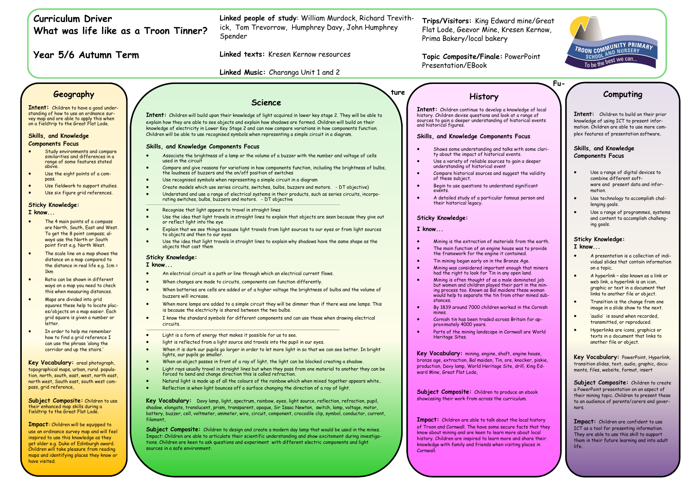# **Curriculum Driver What was life like as a Troon Tinner?**

**Year 5/6 Autumn Term**

**Trips/Visitors:** King Edward mine/Great Flat Lode, Geevor Mine, Kresen Kernow, Prima Bakery/local bakery

**Topic Composite/Finale:** PowerPoint Presentation/EBook

**Fu-**

**ture** 

**Linked people of study**: William Murdock, Richard Trevithick, Tom Trevorrow, Humphrey Davy, John Humphrey Spender

**Linked texts:** Kresen Kernow resources

**Linked Music:** Charanga Unit 1 and 2

# **Geography**

**Intent:** Children to have a good understanding of how to use an ordnance survey map and are able to apply this when on a fieldtrip to the Great Flat Lode.

## **Skills, and Knowledge Components Focus**

- Study environments and compare similarities and differences in a range of some features stated above.
- Use the eight points of a compass.
- Use fieldwork to support studies.
- Use six figure grid references.

# **Sticky Knowledge:**

**I know...**

- The 4 main points of a compass are North, South, East and West. To get the 8 point compass; always use the North or South point first e.g. North West.
- The scale line on a map shows the distance on a map compared to the distance in real life e.g. 1cm = 1km
- Ratio can be shown in different ways on a map you need to check this when measuring distances.
- Maps are divided into grid squares these help to locate places/objects on a map easier. Each grid square is given a number or letter.
- In order to help me remember how to find a grid reference I can use the phrase 'along the corridor and up the stairs.'

**Key Vocabulary:** areal photograph, topographical maps, urban, rural. population, north, south, east, west, north east, north west, South east, south west compass, grid reference,

**Subject Composite:** Children to use their enhanced map skills during a fieldtrip to the Great Flat Lode.

**Impact:** Children will be equipped to use an ordinance survey map and will feel inspired to use this knowledge as they get older e.g. Duke of Edinburgh award. Children will take pleasure from reading maps and identifying places they know or have visited.

# **Science**

**Intent:** Children will build upon their knowledge of light acquired in lower key stage 2. They will be able to explain how they are able to see objects and explain how shadows are formed. Children will build on their knowledge of electricity in Lower Key Stage 2 and can now compare variations in how components function. Children will be able to use recognised symbols when representing a simple circuit in a diagram.

# **Skills, and Knowledge Components Focus**

**Key Vocabulary:** Davy lamp, light, spectrum, rainbow, eyes, light source, reflection, refraction, pupil, shadow, elongate, translucent, prism, transparent, opaque, Sir Isaac Newton, switch, lamp, voltage, motor, battery, buzzer, cell, voltmeter, ammeter, wire, circuit, component, crocodile clip, symbol, conductor, current, filament

**Subject Composite:** Children to design and create a modern day lamp that would be used in the mines. Impact: Children are able to articulate their scientific understanding and show excitement during investigations. Children are keen to ask questions and experiment with different electric components and light sources in a safe environment.

- Associate the brightness of a lamp or the volume of a buzzer with the number and voltage of cells used in the circuit
- Compare and give reasons for variations in how components function, including the brightness of bulbs, the loudness of buzzers and the on/off position of switches
- Use recognised symbols when representing a simple circuit in a diagram
- Create models which use series circuits, switches, bulbs, buzzers and motors. DT objective)
- Understand and use a range of electrical systems in their products, such as series circuits, incorporating switches, bulbs, buzzers and motors. - DT objective \_\_\_\_\_\_\_\_\_\_\_\_\_\_\_\_\_\_\_\_\_\_\_\_\_\_\_\_\_\_\_\_\_\_.\_\_\_\_\_\_\_\_\_\_\_\_\_\_\_\_\_\_\_\_\_\_\_\_\_\_\_\_\_\_\_\_\_\_\_\_\_\_\_\_\_\_\_\_\_\_\_\_\_\_\_\_\_\_\_\_\_\_\_\_\_\_\_\_\_\_\_\_\_\_\_\_\_\_\_\_\_\_\_\_\_\_\_\_\_\_\_\_\_\_\_\_\_\_\_\_\_\_\_\_\_\_\_\_\_\_\_\_\_\_\_\_\_\_\_\_\_\_\_\_\_\_\_\_\_\_\_\_\_\_\_\_
- Recognise that light appears to travel in straight lines
- Use the idea that light travels in straight lines to explain that objects are seen because they give out or reflect light into the eye
- Explain that we see things because light travels from light sources to our eyes or from light sources to objects and then to our eyes
- Use the idea that light travels in straight lines to explain why shadows have the same shape as the objects that cast them
- Use a range of digital devices to combine different software and present data and information.
- Use technology to accomplish challenging goals.
- Use a range of programmes, systems and content to accomplish challenging goals.

Subject Composite: Children to create a PowerPoint presentation on an aspect of their mining topic. Children to present these to an audience of parents/carers and governors.

# **Sticky Knowledge:**

**I know...** 

- An electrical circuit is a path or line through which an electrical current flows.
- When changes are made to circuits, components can function differently.
- When batteries are cells are added or of a higher voltage the brightness of bulbs and the volume of buzzers will increase.
- When more lamps are added to a simple circuit they will be dimmer than if there was one lamps. This is because the electricity is shared between the two bulbs.
- I know the standard symbols for different components and can use these when drawing electrical circuits.
- Light is a form of energy that makes it possible for us to see.
- light is reflected from a light source and travels into the pupil in our eyes.

\_\_\_\_\_\_\_\_\_\_\_\_\_\_\_\_\_\_\_\_\_\_\_\_\_\_\_\_\_\_\_\_\_\_\_\_\_\_\_\_\_\_\_\_\_\_\_\_\_\_\_\_\_\_\_\_\_\_\_\_\_\_\_\_\_\_\_\_\_\_\_\_\_\_\_\_\_\_\_\_\_\_\_\_\_\_\_\_\_\_\_\_\_\_\_\_\_\_\_\_\_\_\_\_\_\_\_\_\_\_\_\_\_\_\_\_\_\_\_\_\_\_\_\_\_\_\_\_\_\_\_\_

**Subject Composite:** Children to produce an ebook showcasing their work from across the curriculum.

- When it is dark our pupils go larger in order to let more light in so that we can see better. In bright lights, our pupils go smaller.
- When an object passes in front of a ray of light, the light can be blocked creating a shadow.
- Light rays usually travel in straight lines but when they pass from one material to another they can be forced to bend and change direction this is called refraction.
- Natural light is made up of all the colours of the rainbow which when mixed together appears white..
- Reflection is when light bounces off a surface changing the direction of a ray of light.

# **Computing**

**TROON COMMUNITY PRIMARY** 

**SCHOOL AND NOTICELLES** 

**Intent:** Children to build on their prior knowledge of using ICT to present information. Children are able to use more complex features of presentation software.

# **Skills, and Knowledge Components Focus**

# **Sticky Knowledge:**

# **I know...**

- A presentation is a collection of individual slides that contain information on a topic.
- A hyperlink also known as a link or web link, a hyperlink is an icon, graphic or text in a document that links to another file or object.
- Transition is the change from one image in a slide show to the next.
- 'audio' is sound when recorded, transmitted, or reproduced.
- Hyperlinks are icons, graphics or texts in a document that links to another file or object.

**Key Vocabulary:** PowerPoint, Hyperlink, transition slides, text, audio, graphic, documents, files, website, format, insert

**Impact:** Children are confident to use ICT as a tool for presenting information. They are able to use this skill to support them in their future learning and into adult life.

# **History**

**Intent:** Children continue to develop a knowledge of local history. Children devise questions and look at a range of sources to gain a deeper understanding of historical events and historical figures.

## **Skills, and Knowledge Components Focus**

- Shows some understanding and talks with some clarity about the impact of historical events.
- Use a variety of reliable sources to gain a deeper understanding of historical event
- Compare historical sources and suggest the validity of these subject.
- Begin to use questions to understand significant events.
- A detailed study of a particular famous person and their historical legacy.

## **Sticky Knowledge:**

**I know...**

- Mining is the extraction of materials from the earth.
- The main function of an engine house was to provide the framework for the engine it contained.
- Tin mining began early on in the Bronze Age. • Mining was considered important enough that miners
- had the right to look for Tin in any open land.
- Mining is often thought of as a male dominated job but women and children played their part in the mining process too. Known as Bal maidens these woman would help to separate the tin from other mined substances.
- By 1839 around 7000 children worked in the Cornish mines.
- Cornish tin has been traded across Britain for approximately 4000 years.
- Parts of the mining landscape in Cornwall are World Heritage Sites.

**Key Vocabulary:** mining, engine, shaft, engine house, bronze age, extraction, Bal maiden, Tin, ore, knocker, piskie, production, Davy lamp, World Heritage Site, drill, King Edward Mine, Great Flat Lode,

**Impact:** Children are able to talk about the local history of Troon and Cornwall. The have some secure facts that they know about mining and are keen to learn more about local history. Children are inspired to learn more and share their knowledge with family and friends when visiting places in Cornwall.